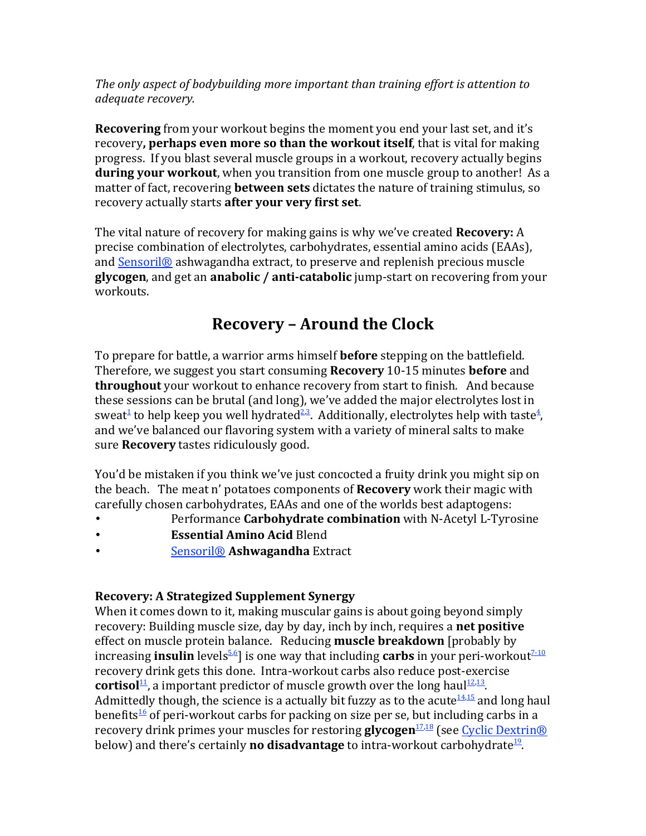*The only aspect of bodybuilding more important than training effort is attention to adequate recovery.*

**Recovering** from your workout begins the moment you end your last set, and it's recovery, **perhaps even more so than the workout itself**, that is vital for making progress. If you blast several muscle groups in a workout, recovery actually begins **during your workout**, when you transition from one muscle group to another! As a matter of fact, recovering **between sets** dictates the nature of training stimulus, so recovery actually starts **after your very first set**.

The vital nature of recovery for making gains is why we've created **Recovery:** A precise combination of electrolytes, carbohydrates, essential amino acids (EAAs), and Sensoril<sup>®</sup> ashwagandha extract, to preserve and replenish precious muscle **glycogen**, and get an **anabolic** / **anti-catabolic** jump-start on recovering from your workouts.

# **Recovery - Around the Clock**

To prepare for battle, a warrior arms himself **before** stepping on the battlefield. Therefore, we suggest you start consuming **Recovery** 10-15 minutes **before** and **throughout** your workout to enhance recovery from start to finish. And because these sessions can be brutal (and long), we've added the major electrolytes lost in sweat<sup>1</sup> to help keep you well hydrated<sup>2,3</sup>. Additionally, electrolytes help with taste<sup>4</sup>, and we've balanced our flavoring system with a variety of mineral salts to make sure **Recovery** tastes ridiculously good.

You'd be mistaken if you think we've just concocted a fruity drink you might sip on the beach. The meat n' potatoes components of **Recovery** work their magic with carefully chosen carbohydrates, EAAs and one of the worlds best adaptogens:

- Performance **Carbohydrate combination** with N-Acetyl L-Tyrosine
- **Essential Amino Acid Blend**
- Sensoril® **Ashwagandha** Extract

#### **Recovery: A Strategized Supplement Synergy**

When it comes down to it, making muscular gains is about going beyond simply recovery: Building muscle size, day by day, inch by inch, requires a **net positive** effect on muscle protein balance. Reducing **muscle breakdown** [probably by increasing **insulin** levels<sup>5.6</sup>] is one way that including **carbs** in your peri-workout<sup>7-10</sup> recovery drink gets this done. Intra-workout carbs also reduce post-exercise **cortisol**<sup>11</sup>, a important predictor of muscle growth over the long haul<sup>12,13</sup>. Admittedly though, the science is a actually bit fuzzy as to the acute  $\frac{14,15}{12}$  and long haul benefits<sup>16</sup> of peri-workout carbs for packing on size per se, but including carbs in a recovery drink primes your muscles for restoring **glycogen**<sup>17,18</sup> (see Cyclic Dextrin<sup>®</sup> below) and there's certainly **no disadvantage** to intra-workout carbohydrate<sup>19</sup>.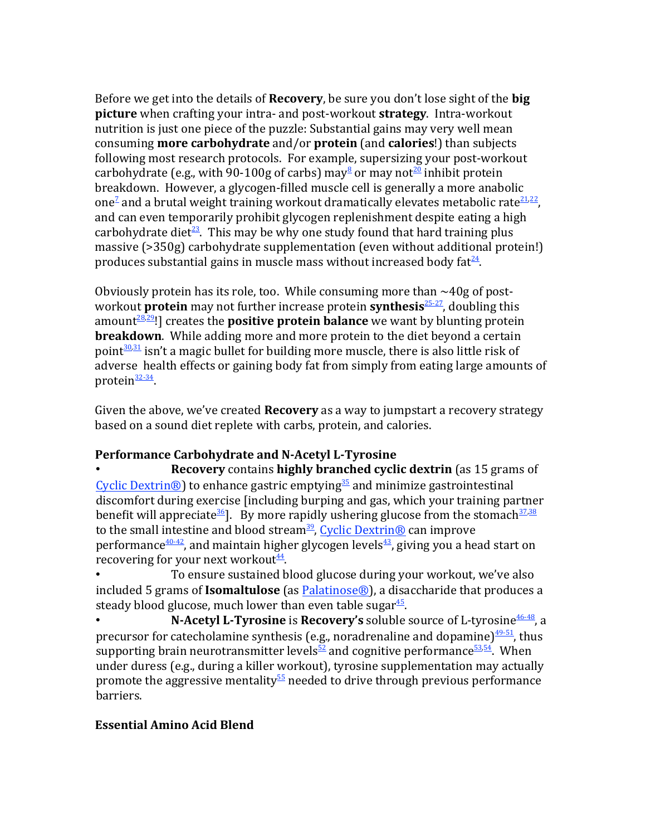Before we get into the details of **Recovery**, be sure you don't lose sight of the **big picture** when crafting your intra- and post-workout **strategy**. Intra-workout nutrition is just one piece of the puzzle: Substantial gains may very well mean consuming **more carbohydrate** and/or **protein** (and **calories**!) than subjects following most research protocols. For example, supersizing your post-workout carbohydrate (e.g., with 90-100g of carbs) may  $\frac{3}{2}$  or may not  $\frac{20}{2}$  inhibit protein breakdown. However, a glycogen-filled muscle cell is generally a more anabolic one<sup>2</sup> and a brutal weight training workout dramatically elevates metabolic rate $\frac{21.22}{27}$ , and can even temporarily prohibit glycogen replenishment despite eating a high carbohydrate diet<sup>23</sup>. This may be why one study found that hard training plus massive (>350g) carbohydrate supplementation (even without additional protein!) produces substantial gains in muscle mass without increased body fat $\frac{24}{1}$ .

Obviously protein has its role, too. While consuming more than  $\sim$ 40g of postworkout **protein** may not further increase protein **synthesis**<sup>25-27</sup>, doubling this amount $28.29$ !] creates the **positive protein balance** we want by blunting protein **breakdown**. While adding more and more protein to the diet beyond a certain point $30,31$  isn't a magic bullet for building more muscle, there is also little risk of adverse health effects or gaining body fat from simply from eating large amounts of protein $\frac{32-34}{3}$ .

Given the above, we've created **Recovery** as a way to jumpstart a recovery strategy based on a sound diet replete with carbs, protein, and calories.

## **Performance Carbohydrate and N-Acetyl L-Tyrosine**

**Recovery** contains **highly branched cyclic dextrin** (as 15 grams of Cyclic Dextrin<sup>®</sup>) to enhance gastric emptying<sup>35</sup> and minimize gastrointestinal discomfort during exercise [including burping and gas, which your training partner benefit will appreciate<sup>36</sup>. By more rapidly ushering glucose from the stomach<sup>37,38</sup> to the small intestine and blood stream<sup>39</sup>, Cyclic Dextrin<sup>®</sup> can improve performance<sup>40-42</sup>, and maintain higher glycogen levels<sup>43</sup>, giving you a head start on recovering for your next workout $\frac{44}{1}$ .

To ensure sustained blood glucose during your workout, we've also included 5 grams of **Isomaltulose** (as Palatinose<sup>®</sup>), a disaccharide that produces a steady blood glucose, much lower than even table sugar $45$ .

**N-Acetyl L-Tyrosine** is **Recovery's** soluble source of L-tyrosine<sup>46-48</sup>, a precursor for catecholamine synthesis (e.g., noradrenaline and dopamine) $\frac{49-51}{12}$ , thus supporting brain neurotransmitter levels<sup>52</sup> and cognitive performance<sup>53,54</sup>. When under duress (e.g., during a killer workout), tyrosine supplementation may actually promote the aggressive mentality<sup>55</sup> needed to drive through previous performance barriers.

## **Essential Amino Acid Blend**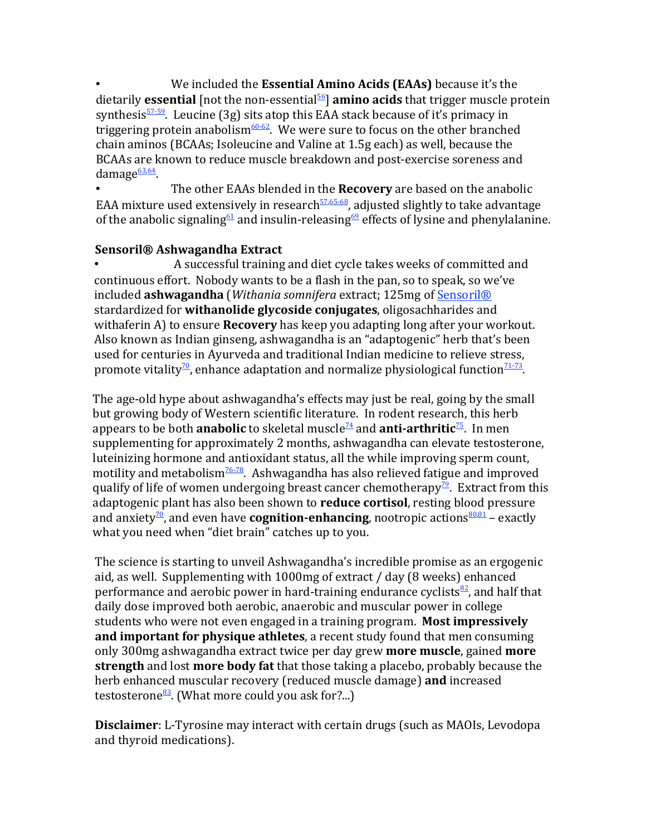We included the **Essential Amino Acids (EAAs)** because it's the dietarily **essential** [not the non-essential<sup>56</sup>] **amino acids** that trigger muscle protein synthesis $57-59$ . Leucine (3g) sits atop this EAA stack because of it's primacy in triggering protein anabolism<sup>60-62</sup>. We were sure to focus on the other branched chain aminos (BCAAs; Isoleucine and Valine at 1.5g each) as well, because the BCAAs are known to reduce muscle breakdown and post-exercise soreness and damage<sup>63,64</sup>.

The other EAAs blended in the **Recovery** are based on the anabolic EAA mixture used extensively in research<sup>57,65-68</sup>, adjusted slightly to take advantage of the anabolic signaling<sup>61</sup> and insulin-releasing<sup>69</sup> effects of lysine and phenylalanine.

#### **Sensoril® Ashwagandha Extract**

A successful training and diet cycle takes weeks of committed and continuous effort. Nobody wants to be a flash in the pan, so to speak, so we've included **ashwagandha** (*Withania somnifera* extract; 125mg of Sensoril® stardardized for **withanolide glycoside conjugates**, oligosachharides and withaferin A) to ensure **Recovery** has keep you adapting long after your workout. Also known as Indian ginseng, ashwagandha is an "adaptogenic" herb that's been used for centuries in Ayurveda and traditional Indian medicine to relieve stress, promote vitality<sup>70</sup>, enhance adaptation and normalize physiological function<sup>71-73</sup>.

The age-old hype about ashwagandha's effects may just be real, going by the small but growing body of Western scientific literature. In rodent research, this herb appears to be both **anabolic** to skeletal muscle<sup> $74$ </sup> and **anti-arthritic**<sup>75</sup>. In men supplementing for approximately 2 months, ashwagandha can elevate testosterone, luteinizing hormone and antioxidant status, all the while improving sperm count, motility and metabolism<sup>76-78</sup>. Ashwagandha has also relieved fatigue and improved qualify of life of women undergoing breast cancer chemotherapy<sup>79</sup>. Extract from this adaptogenic plant has also been shown to **reduce cortisol**, resting blood pressure and anxiety<sup>70</sup>, and even have **cognition-enhancing**, nootropic actions $\frac{80.81}{2}$  – exactly what you need when "diet brain" catches up to you.

The science is starting to unveil Ashwagandha's incredible promise as an ergogenic aid, as well. Supplementing with  $1000$ mg of extract / day (8 weeks) enhanced performance and aerobic power in hard-training endurance cyclists $\frac{82}{2}$ , and half that daily dose improved both aerobic, anaerobic and muscular power in college students who were not even engaged in a training program. Most impressively **and important for physique athletes**, a recent study found that men consuming only 300mg ashwagandha extract twice per day grew **more muscle**, gained **more** strength and lost more body fat that those taking a placebo, probably because the herb enhanced muscular recovery (reduced muscle damage) **and** increased testosterone<sup>83</sup>. (What more could you ask for?...)

**Disclaimer**: L-Tyrosine may interact with certain drugs (such as MAOIs, Levodopa and thyroid medications).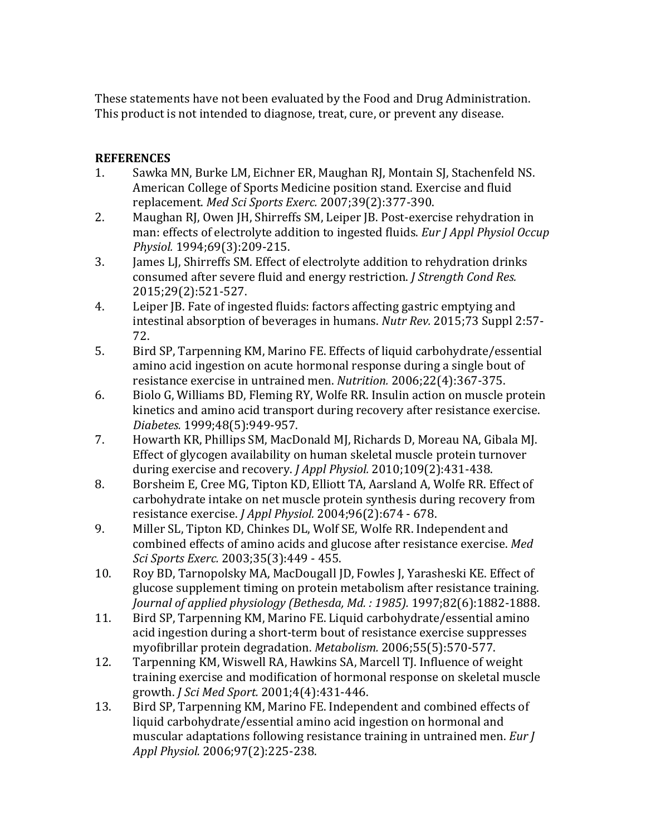These statements have not been evaluated by the Food and Drug Administration. This product is not intended to diagnose, treat, cure, or prevent any disease.

#### **REFERENCES**

- 1. Sawka MN, Burke LM, Eichner ER, Maughan RJ, Montain SJ, Stachenfeld NS. American College of Sports Medicine position stand. Exercise and fluid replacement. *Med Sci Sports Exerc.* 2007;39(2):377-390.
- 2. Maughan RJ, Owen JH, Shirreffs SM, Leiper JB. Post-exercise rehydration in man: effects of electrolyte addition to ingested fluids. *Eur J Appl Physiol Occup Physiol.* 1994;69(3):209-215.
- 3. James LJ, Shirreffs SM. Effect of electrolyte addition to rehydration drinks consumed after severe fluid and energy restriction. *J Strength Cond Res.* 2015;29(2):521-527.
- 4. Leiper JB. Fate of ingested fluids: factors affecting gastric emptying and intestinal absorption of beverages in humans. *Nutr Rev.* 2015;73 Suppl 2:57-72.
- 5. Bird SP, Tarpenning KM, Marino FE. Effects of liquid carbohydrate/essential amino acid ingestion on acute hormonal response during a single bout of resistance exercise in untrained men. *Nutrition.* 2006;22(4):367-375.
- 6. Biolo G, Williams BD, Fleming RY, Wolfe RR. Insulin action on muscle protein kinetics and amino acid transport during recovery after resistance exercise. *Diabetes.* 1999;48(5):949-957.
- 7. Howarth KR, Phillips SM, MacDonald MJ, Richards D, Moreau NA, Gibala MJ. Effect of glycogen availability on human skeletal muscle protein turnover during exercise and recovery. *J Appl Physiol.* 2010;109(2):431-438.
- 8. Borsheim E, Cree MG, Tipton KD, Elliott TA, Aarsland A, Wolfe RR. Effect of carbohydrate intake on net muscle protein synthesis during recovery from resistance exercise. *J Appl Physiol.* 2004;96(2):674 - 678.
- 9. Miller SL, Tipton KD, Chinkes DL, Wolf SE, Wolfe RR. Independent and combined effects of amino acids and glucose after resistance exercise. Med *Sci Sports Exerc.* 2003;35(3):449 - 455.
- 10. Roy BD, Tarnopolsky MA, MacDougall JD, Fowles J, Yarasheski KE. Effect of glucose supplement timing on protein metabolism after resistance training. *Journal of applied physiology (Bethesda, Md.: 1985).* 1997;82(6):1882-1888.
- 11. Bird SP, Tarpenning KM, Marino FE. Liquid carbohydrate/essential amino acid ingestion during a short-term bout of resistance exercise suppresses myofibrillar protein degradation. *Metabolism.* 2006;55(5):570-577.
- 12. Tarpenning KM, Wiswell RA, Hawkins SA, Marcell TJ. Influence of weight training exercise and modification of hormonal response on skeletal muscle growth. *J Sci Med Sport.* 2001;4(4):431-446.
- 13. Bird SP, Tarpenning KM, Marino FE. Independent and combined effects of liquid carbohydrate/essential amino acid ingestion on hormonal and muscular adaptations following resistance training in untrained men. *Eur J Appl Physiol.* 2006;97(2):225-238.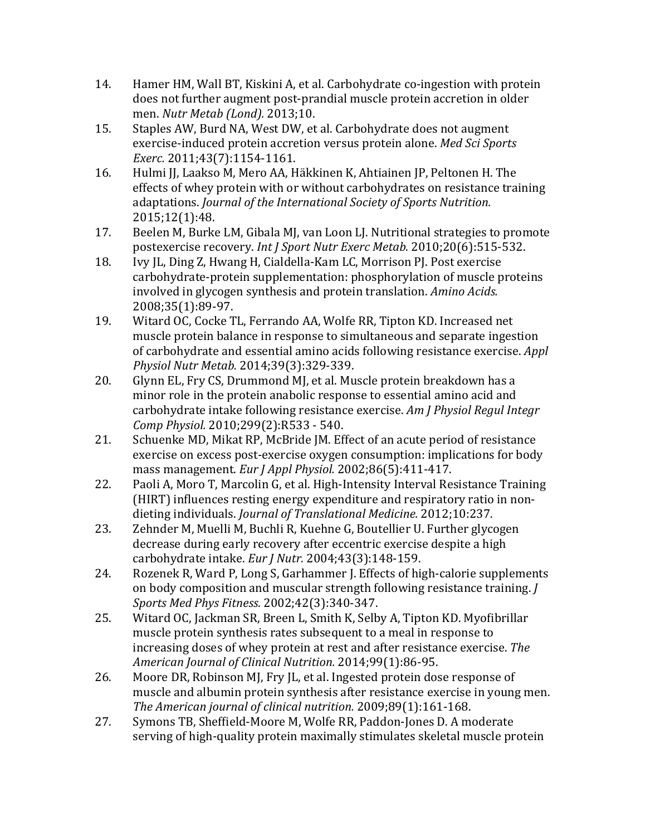- 14. Hamer HM, Wall BT, Kiskini A, et al. Carbohydrate co-ingestion with protein does not further augment post-prandial muscle protein accretion in older men. *Nutr Metab (Lond).* 2013;10.
- 15. Staples AW, Burd NA, West DW, et al. Carbohydrate does not augment exercise-induced protein accretion versus protein alone. *Med Sci Sports Exerc.* 2011;43(7):1154-1161.
- 16. Hulmi JJ, Laakso M, Mero AA, Häkkinen K, Ahtiainen JP, Peltonen H. The effects of whey protein with or without carbohydrates on resistance training adaptations. *Journal of the International Society of Sports Nutrition.* 2015;12(1):48.
- 17. Beelen M, Burke LM, Gibala MJ, van Loon LJ. Nutritional strategies to promote postexercise recovery. *Int J Sport Nutr Exerc Metab.* 2010;20(6):515-532.
- 18. Ivy IL, Ding Z, Hwang H, Cialdella-Kam LC, Morrison PJ. Post exercise carbohydrate-protein supplementation: phosphorylation of muscle proteins involved in glycogen synthesis and protein translation. Amino Acids. 2008;35(1):89-97.
- 19. Witard OC, Cocke TL, Ferrando AA, Wolfe RR, Tipton KD. Increased net muscle protein balance in response to simultaneous and separate ingestion of carbohydrate and essential amino acids following resistance exercise. *Appl Physiol Nutr Metab.* 2014;39(3):329-339.
- 20. Glynn EL, Fry CS, Drummond MJ, et al. Muscle protein breakdown has a minor role in the protein anabolic response to essential amino acid and carbohydrate intake following resistance exercise. Am J Physiol Regul Integr *Comp Physiol.* 2010;299(2):R533 - 540.
- 21. Schuenke MD, Mikat RP, McBride JM. Effect of an acute period of resistance exercise on excess post-exercise oxygen consumption: implications for body mass management. *Eur J Appl Physiol.* 2002;86(5):411-417.
- 22. Paoli A, Moro T, Marcolin G, et al. High-Intensity Interval Resistance Training (HIRT) influences resting energy expenditure and respiratory ratio in nondieting individuals. *Journal of Translational Medicine.* 2012;10:237.
- 23. Zehnder M, Muelli M, Buchli R, Kuehne G, Boutellier U. Further glycogen decrease during early recovery after eccentric exercise despite a high carbohydrate intake. *Eur J Nutr.* 2004;43(3):148-159.
- 24. Rozenek R, Ward P, Long S, Garhammer J. Effects of high-calorie supplements on body composition and muscular strength following resistance training. *J Sports Med Phys Fitness.* 2002;42(3):340-347.
- 25. Witard OC, Jackman SR, Breen L, Smith K, Selby A, Tipton KD. Myofibrillar muscle protein synthesis rates subsequent to a meal in response to increasing doses of whey protein at rest and after resistance exercise. *The American Journal of Clinical Nutrition.* 2014;99(1):86-95.
- 26. Moore DR, Robinson MJ, Fry JL, et al. Ingested protein dose response of muscle and albumin protein synthesis after resistance exercise in young men. *The American journal of clinical nutrition.* 2009;89(1):161-168.
- 27. Symons TB, Sheffield-Moore M, Wolfe RR, Paddon-Jones D. A moderate serving of high-quality protein maximally stimulates skeletal muscle protein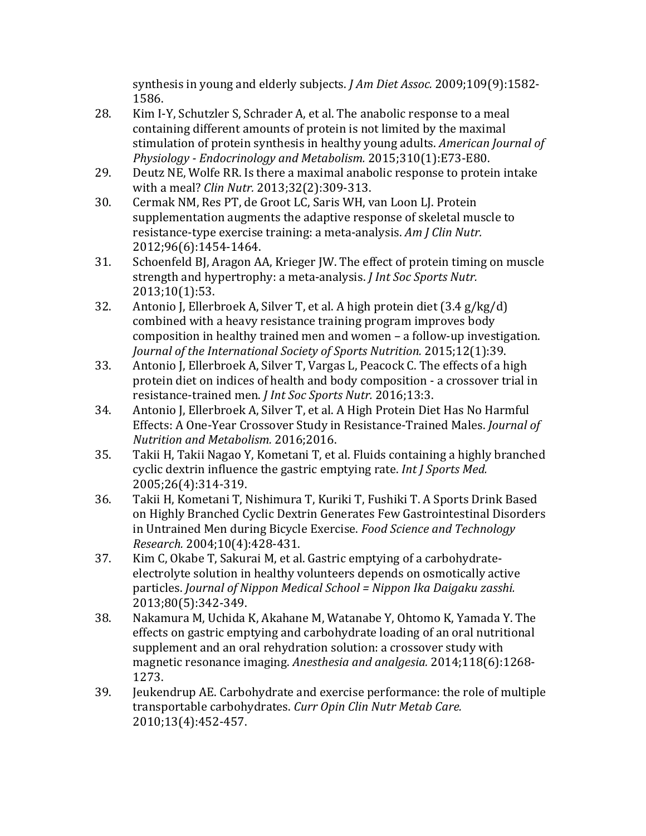synthesis in young and elderly subjects. *J Am Diet Assoc.* 2009;109(9):1582-1586.

- 28. Kim I-Y, Schutzler S, Schrader A, et al. The anabolic response to a meal containing different amounts of protein is not limited by the maximal stimulation of protein synthesis in healthy young adults. *American Journal of Physiology - Endocrinology and Metabolism.* 2015;310(1):E73-E80.
- 29. Deutz NE, Wolfe RR. Is there a maximal anabolic response to protein intake with a meal? *Clin Nutr.* 2013;32(2):309-313.
- 30. Cermak NM, Res PT, de Groot LC, Saris WH, van Loon LJ. Protein supplementation augments the adaptive response of skeletal muscle to resistance-type exercise training: a meta-analysis. Am *J Clin Nutr.* 2012;96(6):1454-1464.
- 31. Schoenfeld BJ, Aragon AA, Krieger JW. The effect of protein timing on muscle strength and hypertrophy: a meta-analysis. *J Int Soc Sports Nutr.* 2013;10(1):53.
- 32. Antonio J, Ellerbroek A, Silver T, et al. A high protein diet  $(3.4 \text{ g/kg}/d)$ combined with a heavy resistance training program improves body composition in healthy trained men and women  $-$  a follow-up investigation. *Journal of the International Society of Sports Nutrition.* 2015;12(1):39.
- 33. Antonio J, Ellerbroek A, Silver T, Vargas L, Peacock C. The effects of a high protein diet on indices of health and body composition - a crossover trial in resistance-trained men. *J Int Soc Sports Nutr.* 2016;13:3.
- 34. Antonio J, Ellerbroek A, Silver T, et al. A High Protein Diet Has No Harmful Effects: A One-Year Crossover Study in Resistance-Trained Males. *Journal of Nutrition and Metabolism.* 2016;2016.
- 35. Takii H, Takii Nagao Y, Kometani T, et al. Fluids containing a highly branched cyclic dextrin influence the gastric emptying rate. *Int J Sports Med.* 2005;26(4):314-319.
- 36. Takii H, Kometani T, Nishimura T, Kuriki T, Fushiki T. A Sports Drink Based on Highly Branched Cyclic Dextrin Generates Few Gastrointestinal Disorders in Untrained Men during Bicycle Exercise. *Food Science and Technology Research.* 2004;10(4):428-431.
- 37. Kim C, Okabe T, Sakurai M, et al. Gastric emptying of a carbohydrateelectrolyte solution in healthy volunteers depends on osmotically active particles. *Journal of Nippon Medical School* = Nippon Ika Daigaku zasshi. 2013;80(5):342-349.
- 38. Nakamura M, Uchida K, Akahane M, Watanabe Y, Ohtomo K, Yamada Y. The effects on gastric emptying and carbohydrate loading of an oral nutritional supplement and an oral rehydration solution: a crossover study with magnetic resonance imaging. *Anesthesia and analgesia*. 2014;118(6):1268-1273.
- 39. Jeukendrup AE. Carbohydrate and exercise performance: the role of multiple transportable carbohydrates. *Curr Opin Clin Nutr Metab Care.* 2010;13(4):452-457.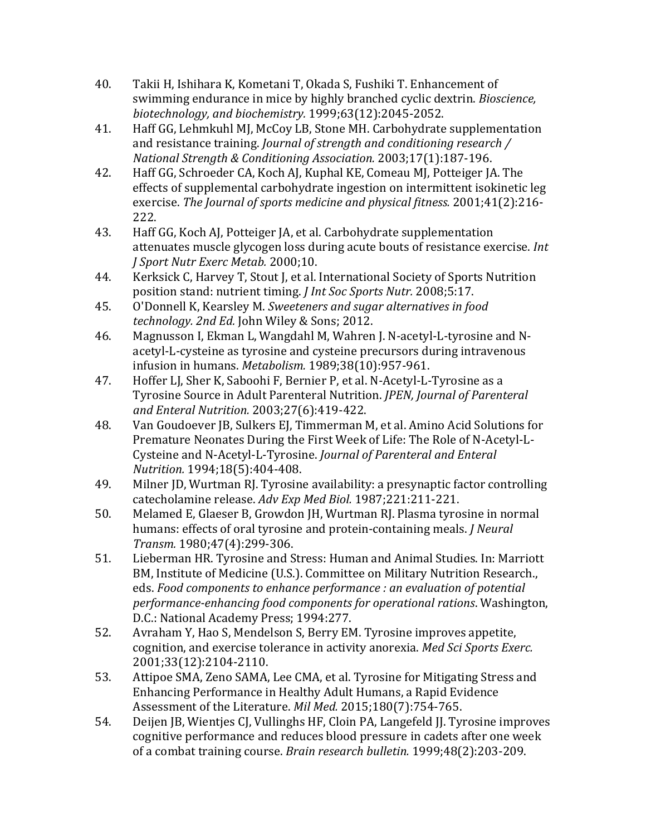- 40. Takii H, Ishihara K, Kometani T, Okada S, Fushiki T. Enhancement of swimming endurance in mice by highly branched cyclic dextrin. *Bioscience*, *biotechnology, and biochemistry.* 1999;63(12):2045-2052.
- 41. Haff GG, Lehmkuhl MJ, McCoy LB, Stone MH. Carbohydrate supplementation and resistance training. *Journal of strength and conditioning research* / *National Strength & Conditioning Association.* 2003;17(1):187-196.
- 42. Haff GG, Schroeder CA, Koch AJ, Kuphal KE, Comeau MJ, Potteiger JA. The effects of supplemental carbohydrate ingestion on intermittent isokinetic leg exercise. The *Journal of sports medicine and physical fitness.* 2001;41(2):216-222.
- 43. Haff GG, Koch AJ, Potteiger JA, et al. Carbohydrate supplementation attenuates muscle glycogen loss during acute bouts of resistance exercise. *Int J Sport Nutr Exerc Metab.* 2000;10.
- 44. Kerksick C, Harvey T, Stout J, et al. International Society of Sports Nutrition position stand: nutrient timing. *J Int Soc Sports Nutr.* 2008;5:17.
- 45. O'Donnell K, Kearsley M. *Sweeteners and sugar alternatives in food technology. 2nd Ed.* John Wiley & Sons; 2012.
- 46. Magnusson I, Ekman L, Wangdahl M, Wahren J. N-acetyl-L-tyrosine and Nacetyl-L-cysteine as tyrosine and cysteine precursors during intravenous infusion in humans. *Metabolism.* 1989;38(10):957-961.
- 47. Hoffer LJ, Sher K, Saboohi F, Bernier P, et al. N-Acetyl-L-Tyrosine as a Tyrosine Source in Adult Parenteral Nutrition. *JPEN, Journal of Parenteral and Enteral Nutrition.* 2003;27(6):419-422.
- 48. Van Goudoever JB, Sulkers EJ, Timmerman M, et al. Amino Acid Solutions for Premature Neonates During the First Week of Life: The Role of N-Acetyl-L-Cysteine and N-Acetyl-L-Tyrosine. *Journal of Parenteral and Enteral Nutrition.* 1994;18(5):404-408.
- 49. Milner JD, Wurtman RJ. Tyrosine availability: a presynaptic factor controlling catecholamine release. Adv Exp Med Biol. 1987;221:211-221.
- 50. Melamed E, Glaeser B, Growdon JH, Wurtman RJ. Plasma tyrosine in normal humans: effects of oral tyrosine and protein-containing meals. *J Neural Transm.* 1980;47(4):299-306.
- 51. Lieberman HR. Tyrosine and Stress: Human and Animal Studies. In: Marriott BM, Institute of Medicine (U.S.). Committee on Military Nutrition Research., eds. Food components to enhance performance : an evaluation of potential *performance-enhancing food components for operational rations*. Washington, D.C.: National Academy Press; 1994:277.
- 52. Avraham Y, Hao S, Mendelson S, Berry EM. Tyrosine improves appetite, cognition, and exercise tolerance in activity anorexia. *Med Sci Sports Exerc.* 2001;33(12):2104-2110.
- 53. Attipoe SMA, Zeno SAMA, Lee CMA, et al. Tyrosine for Mitigating Stress and Enhancing Performance in Healthy Adult Humans, a Rapid Evidence Assessment of the Literature. *Mil Med.* 2015;180(7):754-765.
- 54. Deijen JB, Wienties CJ, Vullinghs HF, Cloin PA, Langefeld JJ. Tyrosine improves cognitive performance and reduces blood pressure in cadets after one week of a combat training course. *Brain research bulletin.* 1999;48(2):203-209.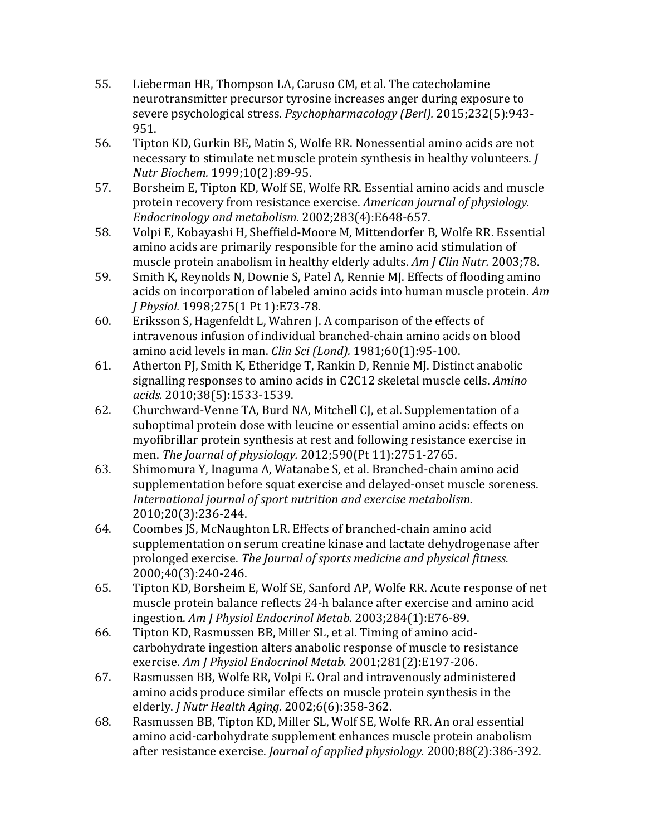- 55. Lieberman HR, Thompson LA, Caruso CM, et al. The catecholamine neurotransmitter precursor tyrosine increases anger during exposure to severe psychological stress. *Psychopharmacology (Berl).* 2015;232(5):943-951.
- 56. Tipton KD, Gurkin BE, Matin S, Wolfe RR. Nonessential amino acids are not necessary to stimulate net muscle protein synthesis in healthy volunteers. *J Nutr Biochem.* 1999;10(2):89-95.
- 57. Borsheim E, Tipton KD, Wolf SE, Wolfe RR. Essential amino acids and muscle protein recovery from resistance exercise. *American journal of physiology. Endocrinology and metabolism.* 2002;283(4):E648-657.
- 58. Volpi E, Kobayashi H, Sheffield-Moore M, Mittendorfer B, Wolfe RR. Essential amino acids are primarily responsible for the amino acid stimulation of muscle protein anabolism in healthy elderly adults. *Am J Clin Nutr.* 2003;78.
- 59. Smith K, Reynolds N, Downie S, Patel A, Rennie MJ. Effects of flooding amino acids on incorporation of labeled amino acids into human muscle protein. Am *J* Physiol. 1998;275(1 Pt 1):E73-78.
- 60. Eriksson S, Hagenfeldt L, Wahren J. A comparison of the effects of intravenous infusion of individual branched-chain amino acids on blood amino acid levels in man. *Clin Sci (Lond)*. 1981;60(1):95-100.
- 61. Atherton PJ, Smith K, Etheridge T, Rankin D, Rennie MJ. Distinct anabolic signalling responses to amino acids in C2C12 skeletal muscle cells. *Amino acids.* 2010;38(5):1533-1539.
- 62. Churchward-Venne TA, Burd NA, Mitchell CJ, et al. Supplementation of a suboptimal protein dose with leucine or essential amino acids: effects on myofibrillar protein synthesis at rest and following resistance exercise in men. The *Journal of physiology.* 2012;590(Pt 11):2751-2765.
- 63. Shimomura Y, Inaguma A, Watanabe S, et al. Branched-chain amino acid supplementation before squat exercise and delayed-onset muscle soreness. International journal of sport nutrition and exercise metabolism. 2010;20(3):236-244.
- 64. Coombes IS, McNaughton LR. Effects of branched-chain amino acid supplementation on serum creatine kinase and lactate dehydrogenase after prolonged exercise. The *Journal of sports medicine and physical fitness.* 2000;40(3):240-246.
- 65. Tipton KD, Borsheim E, Wolf SE, Sanford AP, Wolfe RR. Acute response of net muscle protein balance reflects 24-h balance after exercise and amino acid ingestion. *Am J Physiol Endocrinol Metab.* 2003;284(1):E76-89.
- 66. Tipton KD, Rasmussen BB, Miller SL, et al. Timing of amino acidcarbohydrate ingestion alters anabolic response of muscle to resistance exercise. Am *J Physiol Endocrinol Metab.* 2001;281(2):E197-206.
- 67. Rasmussen BB, Wolfe RR, Volpi E. Oral and intravenously administered amino acids produce similar effects on muscle protein synthesis in the elderly. *J Nutr Health Aging.* 2002;6(6):358-362.
- 68. Rasmussen BB, Tipton KD, Miller SL, Wolf SE, Wolfe RR. An oral essential amino acid-carbohydrate supplement enhances muscle protein anabolism after resistance exercise. *Journal of applied physiology.* 2000;88(2):386-392.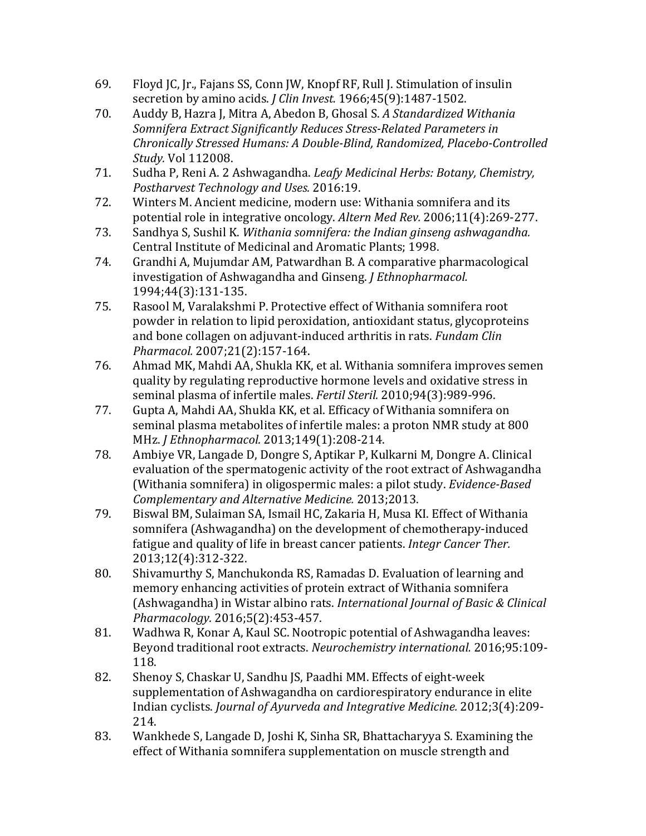- 69. Floyd JC, Jr., Fajans SS, Conn JW, Knopf RF, Rull J. Stimulation of insulin secretion by amino acids. *J Clin Invest.* 1966;45(9):1487-1502.
- 70. Auddy B, Hazra J, Mitra A, Abedon B, Ghosal S. *A Standardized Withania* **Somnifera Extract Significantly Reduces Stress-Related Parameters in** *Chronically Stressed Humans: A Double-Blind, Randomized, Placebo-Controlled Study.* Vol 112008.
- 71. Sudha P, Reni A. 2 Ashwagandha. *Leafy Medicinal Herbs: Botany, Chemistry, Postharvest Technology and Uses.* 2016:19.
- 72. Winters M. Ancient medicine, modern use: Withania somnifera and its potential role in integrative oncology. *Altern Med Rev.* 2006;11(4):269-277.
- 73. Sandhya S, Sushil K. *Withania somnifera: the Indian ginseng ashwagandha.* Central Institute of Medicinal and Aromatic Plants; 1998.
- 74. Grandhi A, Mujumdar AM, Patwardhan B. A comparative pharmacological investigation of Ashwagandha and Ginseng. *J Ethnopharmacol.* 1994;44(3):131-135.
- 75. Rasool M, Varalakshmi P. Protective effect of Withania somnifera root powder in relation to lipid peroxidation, antioxidant status, glycoproteins and bone collagen on adjuvant-induced arthritis in rats. *Fundam Clin Pharmacol.* 2007;21(2):157-164.
- 76. Ahmad MK, Mahdi AA, Shukla KK, et al. Withania somnifera improves semen quality by regulating reproductive hormone levels and oxidative stress in seminal plasma of infertile males. *Fertil Steril.* 2010:94(3):989-996.
- 77. Gupta A, Mahdi AA, Shukla KK, et al. Efficacy of Withania somnifera on seminal plasma metabolites of infertile males: a proton NMR study at 800 MHz. *J Ethnopharmacol.* 2013;149(1):208-214.
- 78. Ambiye VR, Langade D, Dongre S, Aptikar P, Kulkarni M, Dongre A. Clinical evaluation of the spermatogenic activity of the root extract of Ashwagandha (Withania somnifera) in oligospermic males: a pilot study. *Evidence-Based Complementary and Alternative Medicine.* 2013;2013.
- 79. Biswal BM, Sulaiman SA, Ismail HC, Zakaria H, Musa KI. Effect of Withania somnifera (Ashwagandha) on the development of chemotherapy-induced fatigue and quality of life in breast cancer patients. *Integr Cancer Ther.* 2013;12(4):312-322.
- 80. Shivamurthy S, Manchukonda RS, Ramadas D. Evaluation of learning and memory enhancing activities of protein extract of Withania somnifera (Ashwagandha) in Wistar albino rats. *International Journal of Basic & Clinical Pharmacology.* 2016;5(2):453-457.
- 81. Wadhwa R, Konar A, Kaul SC. Nootropic potential of Ashwagandha leaves: Beyond traditional root extracts. *Neurochemistry international.* 2016;95:109-118.
- 82. Shenoy S, Chaskar U, Sandhu JS, Paadhi MM. Effects of eight-week supplementation of Ashwagandha on cardiorespiratory endurance in elite Indian cyclists. *Journal of Ayurveda and Integrative Medicine*. 2012;3(4):209-214.
- 83. Wankhede S, Langade D, Joshi K, Sinha SR, Bhattacharyya S. Examining the effect of Withania somnifera supplementation on muscle strength and